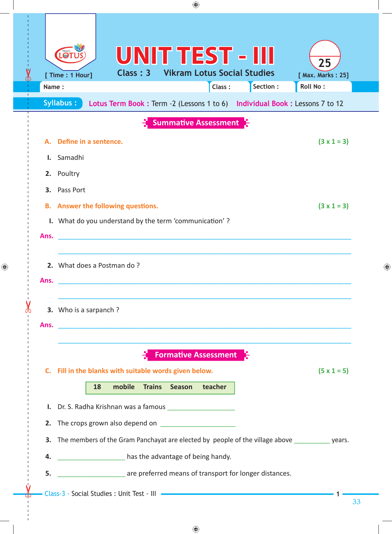|     |                                                                                                                                                      |                                                        |    |          |               | ◈      |                                                                        |           |  |                                                                                                                     |    |   |
|-----|------------------------------------------------------------------------------------------------------------------------------------------------------|--------------------------------------------------------|----|----------|---------------|--------|------------------------------------------------------------------------|-----------|--|---------------------------------------------------------------------------------------------------------------------|----|---|
|     | Name:                                                                                                                                                | [ Time : 1 Hour]<br><b>Syllabus:</b>                   |    | Class: 3 |               |        | <b>UNIT TEST - III</b><br><b>Vikram Lotus Social Studies</b><br>Class: | Section : |  | 25<br>[ Max. Marks: 25]<br>Roll No:<br>Lotus Term Book : Term -2 (Lessons 1 to 6) Individual Book : Lessons 7 to 12 |    |   |
|     |                                                                                                                                                      |                                                        |    |          |               |        | <b>Summative Assessment</b>                                            |           |  |                                                                                                                     |    |   |
|     | А.<br>Ι.<br>2.                                                                                                                                       | Define in a sentence.<br>Samadhi<br>Poultry            |    |          |               |        |                                                                        |           |  | $(3 \times 1 = 3)$                                                                                                  |    |   |
|     | Pass Port<br>3.<br>$(3 \times 1 = 3)$<br><b>B.</b> Answer the following questions.<br>I. What do you understand by the term 'communication'?<br>Ans. |                                                        |    |          |               |        |                                                                        |           |  |                                                                                                                     |    |   |
|     | Ans.                                                                                                                                                 | 2. What does a Postman do?                             |    |          |               |        |                                                                        |           |  |                                                                                                                     |    | ♠ |
| ON. | Ans.                                                                                                                                                 | 3. Who is a sarpanch?                                  |    |          |               |        |                                                                        |           |  |                                                                                                                     |    |   |
|     |                                                                                                                                                      | C. Fill in the blanks with suitable words given below. | 18 | mobile   | <b>Trains</b> | Season | <b>Formative Assessment</b><br>teacher                                 |           |  | $(5 \times 1 = 5)$                                                                                                  |    |   |
|     |                                                                                                                                                      | I. Dr. S. Radha Krishnan was a famous                  |    |          |               |        |                                                                        |           |  |                                                                                                                     |    |   |
|     | 4.                                                                                                                                                   |                                                        |    |          |               |        | _____________________ has the advantage of being handy.                |           |  | 3. The members of the Gram Panchayat are elected by people of the village above __________ years.                   |    |   |
|     | 5.                                                                                                                                                   |                                                        |    |          |               |        | are preferred means of transport for longer distances.                 |           |  |                                                                                                                     |    |   |
|     |                                                                                                                                                      |                                                        |    |          |               |        |                                                                        |           |  |                                                                                                                     | 33 |   |

 $\bigoplus$ 

 $\bigoplus$